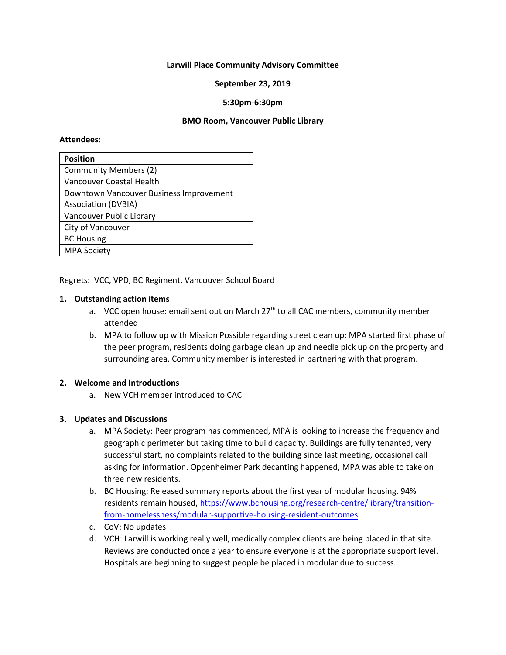#### **Larwill Place Community Advisory Committee**

## **September 23, 2019**

## **5:30pm-6:30pm**

#### **BMO Room, Vancouver Public Library**

#### **Attendees:**

| <b>Position</b>                         |
|-----------------------------------------|
| <b>Community Members (2)</b>            |
| Vancouver Coastal Health                |
| Downtown Vancouver Business Improvement |
| <b>Association (DVBIA)</b>              |
| Vancouver Public Library                |
| City of Vancouver                       |
| <b>BC Housing</b>                       |
| <b>MPA Society</b>                      |

Regrets: VCC, VPD, BC Regiment, Vancouver School Board

#### **1. Outstanding action items**

- a. VCC open house: email sent out on March  $27<sup>th</sup>$  to all CAC members, community member attended
- b. MPA to follow up with Mission Possible regarding street clean up: MPA started first phase of the peer program, residents doing garbage clean up and needle pick up on the property and surrounding area. Community member is interested in partnering with that program.

#### **2. Welcome and Introductions**

a. New VCH member introduced to CAC

## **3. Updates and Discussions**

- a. MPA Society: Peer program has commenced, MPA is looking to increase the frequency and geographic perimeter but taking time to build capacity. Buildings are fully tenanted, very successful start, no complaints related to the building since last meeting, occasional call asking for information. Oppenheimer Park decanting happened, MPA was able to take on three new residents.
- b. BC Housing: Released summary reports about the first year of modular housing. 94% residents remain housed, [https://www.bchousing.org/research-centre/library/transition](https://www.bchousing.org/research-centre/library/transition-from-homelessness/modular-supportive-housing-resident-outcomes)[from-homelessness/modular-supportive-housing-resident-outcomes](https://www.bchousing.org/research-centre/library/transition-from-homelessness/modular-supportive-housing-resident-outcomes)
- c. CoV: No updates
- d. VCH: Larwill is working really well, medically complex clients are being placed in that site. Reviews are conducted once a year to ensure everyone is at the appropriate support level. Hospitals are beginning to suggest people be placed in modular due to success.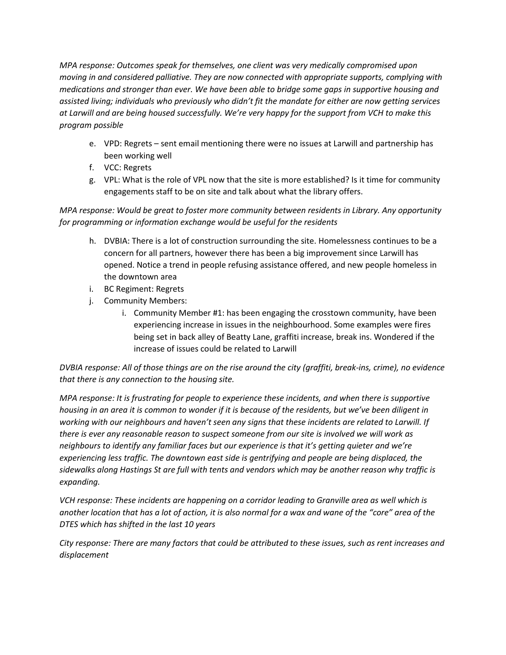*MPA response: Outcomes speak for themselves, one client was very medically compromised upon moving in and considered palliative. They are now connected with appropriate supports, complying with medications and stronger than ever. We have been able to bridge some gaps in supportive housing and assisted living; individuals who previously who didn't fit the mandate for either are now getting services at Larwill and are being housed successfully. We're very happy for the support from VCH to make this program possible* 

- e. VPD: Regrets sent email mentioning there were no issues at Larwill and partnership has been working well
- f. VCC: Regrets
- g. VPL: What is the role of VPL now that the site is more established? Is it time for community engagements staff to be on site and talk about what the library offers.

*MPA response: Would be great to foster more community between residents in Library. Any opportunity for programming or information exchange would be useful for the residents*

- h. DVBIA: There is a lot of construction surrounding the site. Homelessness continues to be a concern for all partners, however there has been a big improvement since Larwill has opened. Notice a trend in people refusing assistance offered, and new people homeless in the downtown area
- i. BC Regiment: Regrets
- j. Community Members:
	- i. Community Member #1: has been engaging the crosstown community, have been experiencing increase in issues in the neighbourhood. Some examples were fires being set in back alley of Beatty Lane, graffiti increase, break ins. Wondered if the increase of issues could be related to Larwill

*DVBIA response: All of those things are on the rise around the city (graffiti, break-ins, crime), no evidence that there is any connection to the housing site.* 

*MPA response: It is frustrating for people to experience these incidents, and when there is supportive housing in an area it is common to wonder if it is because of the residents, but we've been diligent in working with our neighbours and haven't seen any signs that these incidents are related to Larwill. If there is ever any reasonable reason to suspect someone from our site is involved we will work as neighbours to identify any familiar faces but our experience is that it's getting quieter and we're experiencing less traffic. The downtown east side is gentrifying and people are being displaced, the sidewalks along Hastings St are full with tents and vendors which may be another reason why traffic is expanding.*

*VCH response: These incidents are happening on a corridor leading to Granville area as well which is another location that has a lot of action, it is also normal for a wax and wane of the "core" area of the DTES which has shifted in the last 10 years*

*City response: There are many factors that could be attributed to these issues, such as rent increases and displacement*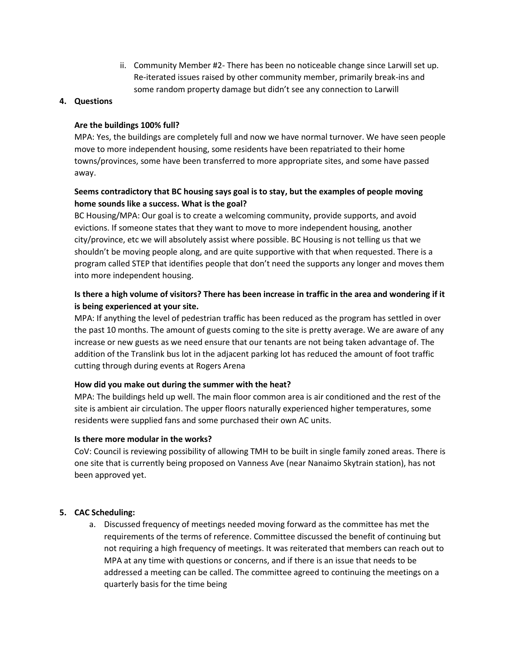ii. Community Member #2- There has been no noticeable change since Larwill set up. Re-iterated issues raised by other community member, primarily break-ins and some random property damage but didn't see any connection to Larwill

## **4. Questions**

## **Are the buildings 100% full?**

MPA: Yes, the buildings are completely full and now we have normal turnover. We have seen people move to more independent housing, some residents have been repatriated to their home towns/provinces, some have been transferred to more appropriate sites, and some have passed away.

# **Seems contradictory that BC housing says goal is to stay, but the examples of people moving home sounds like a success. What is the goal?**

BC Housing/MPA: Our goal is to create a welcoming community, provide supports, and avoid evictions. If someone states that they want to move to more independent housing, another city/province, etc we will absolutely assist where possible. BC Housing is not telling us that we shouldn't be moving people along, and are quite supportive with that when requested. There is a program called STEP that identifies people that don't need the supports any longer and moves them into more independent housing.

# **Is there a high volume of visitors? There has been increase in traffic in the area and wondering if it is being experienced at your site.**

MPA: If anything the level of pedestrian traffic has been reduced as the program has settled in over the past 10 months. The amount of guests coming to the site is pretty average. We are aware of any increase or new guests as we need ensure that our tenants are not being taken advantage of. The addition of the Translink bus lot in the adjacent parking lot has reduced the amount of foot traffic cutting through during events at Rogers Arena

# **How did you make out during the summer with the heat?**

MPA: The buildings held up well. The main floor common area is air conditioned and the rest of the site is ambient air circulation. The upper floors naturally experienced higher temperatures, some residents were supplied fans and some purchased their own AC units.

## **Is there more modular in the works?**

CoV: Council is reviewing possibility of allowing TMH to be built in single family zoned areas. There is one site that is currently being proposed on Vanness Ave (near Nanaimo Skytrain station), has not been approved yet.

# **5. CAC Scheduling:**

a. Discussed frequency of meetings needed moving forward as the committee has met the requirements of the terms of reference. Committee discussed the benefit of continuing but not requiring a high frequency of meetings. It was reiterated that members can reach out to MPA at any time with questions or concerns, and if there is an issue that needs to be addressed a meeting can be called. The committee agreed to continuing the meetings on a quarterly basis for the time being